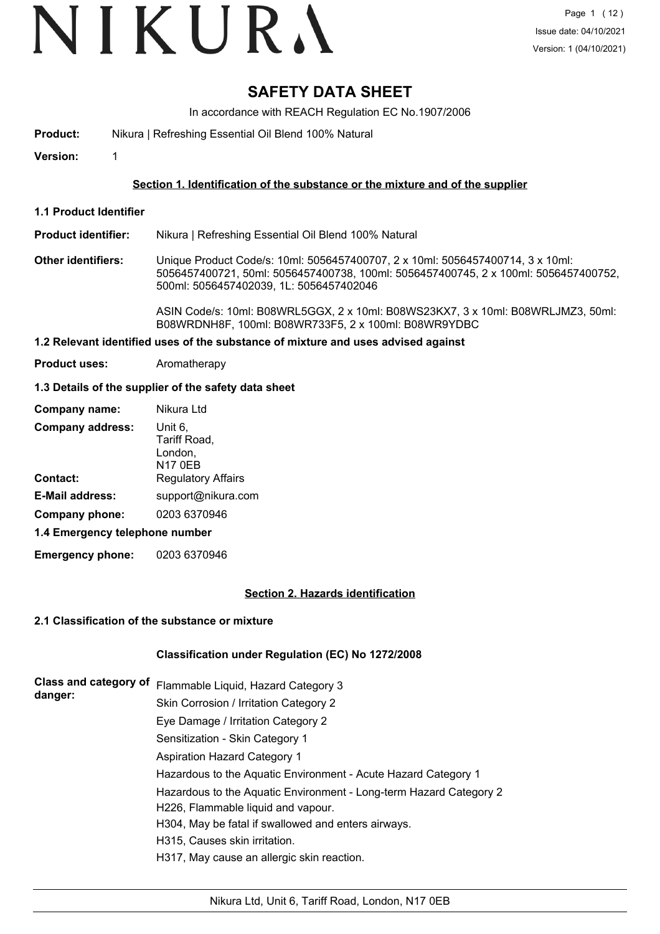# **SAFETY DATA SHEET**

In accordance with REACH Regulation EC No.1907/2006

**Product:** Nikura | Refreshing Essential Oil Blend 100% Natural

**Version:** 1

## **Section 1. Identification of the substance or the mixture and of the supplier**

**1.1 Product Identifier**

**Product identifier:** Nikura | Refreshing Essential Oil Blend 100% Natural

**Other identifiers:** Unique Product Code/s: 10ml: 5056457400707, 2 x 10ml: 5056457400714, 3 x 10ml: 5056457400721, 50ml: 5056457400738, 100ml: 5056457400745, 2 x 100ml: 5056457400752, 500ml: 5056457402039, 1L: 5056457402046

> ASIN Code/s: 10ml: B08WRL5GGX, 2 x 10ml: B08WS23KX7, 3 x 10ml: B08WRLJMZ3, 50ml: B08WRDNH8F, 100ml: B08WR733F5, 2 x 100ml: B08WR9YDBC

## **1.2 Relevant identified uses of the substance of mixture and uses advised against**

**Product uses:** Aromatherapy

#### **1.3 Details of the supplier of the safety data sheet**

| Company name:                  | Nikura Ltd                                           |  |  |
|--------------------------------|------------------------------------------------------|--|--|
| <b>Company address:</b>        | Unit 6,<br>Tariff Road,<br>London,<br><b>N17 0EB</b> |  |  |
| <b>Contact:</b>                | <b>Regulatory Affairs</b>                            |  |  |
| <b>E-Mail address:</b>         | support@nikura.com                                   |  |  |
| Company phone:                 | 0203 6370946                                         |  |  |
| 1.4 Emergency telephone number |                                                      |  |  |

**Emergency phone:** 0203 6370946

#### **Section 2. Hazards identification**

#### **2.1 Classification of the substance or mixture**

#### **Classification under Regulation (EC) No 1272/2008**

| Class and category of | Flammable Liquid, Hazard Category 3                                |
|-----------------------|--------------------------------------------------------------------|
| danger:               | Skin Corrosion / Irritation Category 2                             |
|                       | Eye Damage / Irritation Category 2                                 |
|                       | Sensitization - Skin Category 1                                    |
|                       | <b>Aspiration Hazard Category 1</b>                                |
|                       | Hazardous to the Aquatic Environment - Acute Hazard Category 1     |
|                       | Hazardous to the Aquatic Environment - Long-term Hazard Category 2 |
|                       | H226, Flammable liquid and vapour.                                 |
|                       | H304, May be fatal if swallowed and enters airways.                |
|                       | H315, Causes skin irritation.                                      |
|                       | H317, May cause an allergic skin reaction.                         |
|                       |                                                                    |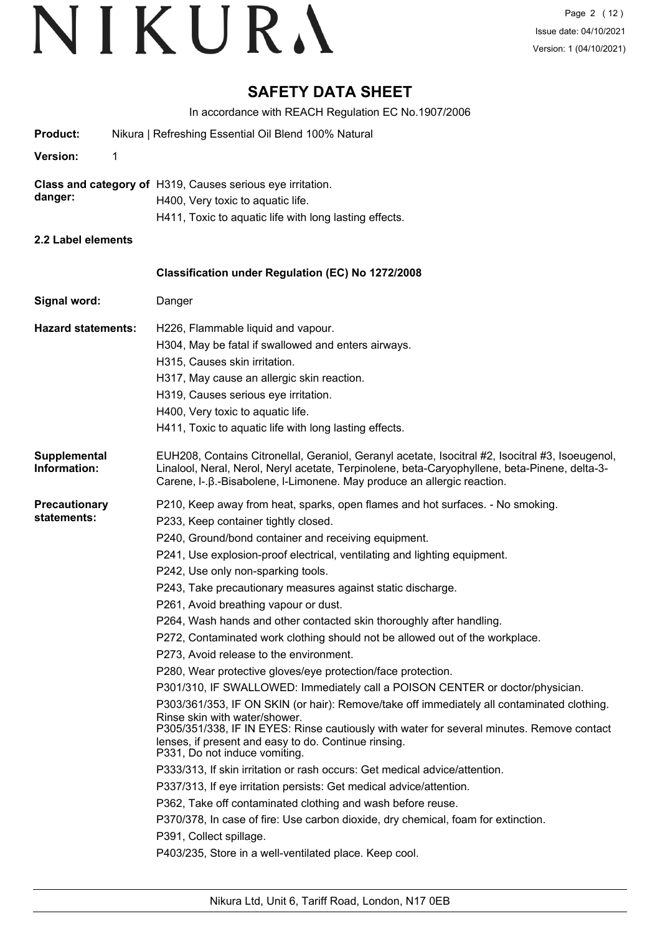# **SAFETY DATA SHEET**

In accordance with REACH Regulation EC No.1907/2006

|                                     | IT accordance with REACH Regulation LO NO. 1907/2000                                                                                                                                                                                                                                                                                                                                                                                                                                                                                                                                                                                                                                                                                                                                                                                                                                                                                                                                                                                                                                                                                                                                                                                                                                                                                                                                                                                                                             |
|-------------------------------------|----------------------------------------------------------------------------------------------------------------------------------------------------------------------------------------------------------------------------------------------------------------------------------------------------------------------------------------------------------------------------------------------------------------------------------------------------------------------------------------------------------------------------------------------------------------------------------------------------------------------------------------------------------------------------------------------------------------------------------------------------------------------------------------------------------------------------------------------------------------------------------------------------------------------------------------------------------------------------------------------------------------------------------------------------------------------------------------------------------------------------------------------------------------------------------------------------------------------------------------------------------------------------------------------------------------------------------------------------------------------------------------------------------------------------------------------------------------------------------|
| <b>Product:</b>                     | Nikura   Refreshing Essential Oil Blend 100% Natural                                                                                                                                                                                                                                                                                                                                                                                                                                                                                                                                                                                                                                                                                                                                                                                                                                                                                                                                                                                                                                                                                                                                                                                                                                                                                                                                                                                                                             |
| Version:                            |                                                                                                                                                                                                                                                                                                                                                                                                                                                                                                                                                                                                                                                                                                                                                                                                                                                                                                                                                                                                                                                                                                                                                                                                                                                                                                                                                                                                                                                                                  |
| danger:                             | Class and category of H319, Causes serious eye irritation.<br>H400, Very toxic to aquatic life.<br>H411, Toxic to aquatic life with long lasting effects.                                                                                                                                                                                                                                                                                                                                                                                                                                                                                                                                                                                                                                                                                                                                                                                                                                                                                                                                                                                                                                                                                                                                                                                                                                                                                                                        |
| 2.2 Label elements                  |                                                                                                                                                                                                                                                                                                                                                                                                                                                                                                                                                                                                                                                                                                                                                                                                                                                                                                                                                                                                                                                                                                                                                                                                                                                                                                                                                                                                                                                                                  |
|                                     | Classification under Regulation (EC) No 1272/2008                                                                                                                                                                                                                                                                                                                                                                                                                                                                                                                                                                                                                                                                                                                                                                                                                                                                                                                                                                                                                                                                                                                                                                                                                                                                                                                                                                                                                                |
| Signal word:                        | Danger                                                                                                                                                                                                                                                                                                                                                                                                                                                                                                                                                                                                                                                                                                                                                                                                                                                                                                                                                                                                                                                                                                                                                                                                                                                                                                                                                                                                                                                                           |
| <b>Hazard statements:</b>           | H226, Flammable liquid and vapour.<br>H304, May be fatal if swallowed and enters airways.<br>H315, Causes skin irritation.<br>H317, May cause an allergic skin reaction.<br>H319, Causes serious eye irritation.<br>H400, Very toxic to aquatic life.<br>H411, Toxic to aquatic life with long lasting effects.                                                                                                                                                                                                                                                                                                                                                                                                                                                                                                                                                                                                                                                                                                                                                                                                                                                                                                                                                                                                                                                                                                                                                                  |
| Supplemental<br>Information:        | EUH208, Contains Citronellal, Geraniol, Geranyl acetate, Isocitral #2, Isocitral #3, Isoeugenol,<br>Linalool, Neral, Nerol, Neryl acetate, Terpinolene, beta-Caryophyllene, beta-Pinene, delta-3-<br>Carene, I-. B.-Bisabolene, I-Limonene. May produce an allergic reaction.                                                                                                                                                                                                                                                                                                                                                                                                                                                                                                                                                                                                                                                                                                                                                                                                                                                                                                                                                                                                                                                                                                                                                                                                    |
| <b>Precautionary</b><br>statements: | P210, Keep away from heat, sparks, open flames and hot surfaces. - No smoking.<br>P233, Keep container tightly closed.<br>P240, Ground/bond container and receiving equipment.<br>P241, Use explosion-proof electrical, ventilating and lighting equipment.<br>P242, Use only non-sparking tools.<br>P243, Take precautionary measures against static discharge.<br>P261, Avoid breathing vapour or dust.<br>P264, Wash hands and other contacted skin thoroughly after handling.<br>P272, Contaminated work clothing should not be allowed out of the workplace.<br>P273, Avoid release to the environment.<br>P280, Wear protective gloves/eye protection/face protection.<br>P301/310, IF SWALLOWED: Immediately call a POISON CENTER or doctor/physician.<br>P303/361/353, IF ON SKIN (or hair): Remove/take off immediately all contaminated clothing.<br>Rinse skin with water/shower.<br>P305/351/338, IF IN EYES: Rinse cautiously with water for several minutes. Remove contact<br>lenses, if present and easy to do. Continue rinsing.<br>P331, Do not induce vomiting.<br>P333/313, If skin irritation or rash occurs: Get medical advice/attention.<br>P337/313, If eye irritation persists: Get medical advice/attention.<br>P362, Take off contaminated clothing and wash before reuse.<br>P370/378, In case of fire: Use carbon dioxide, dry chemical, foam for extinction.<br>P391, Collect spillage.<br>P403/235, Store in a well-ventilated place. Keep cool. |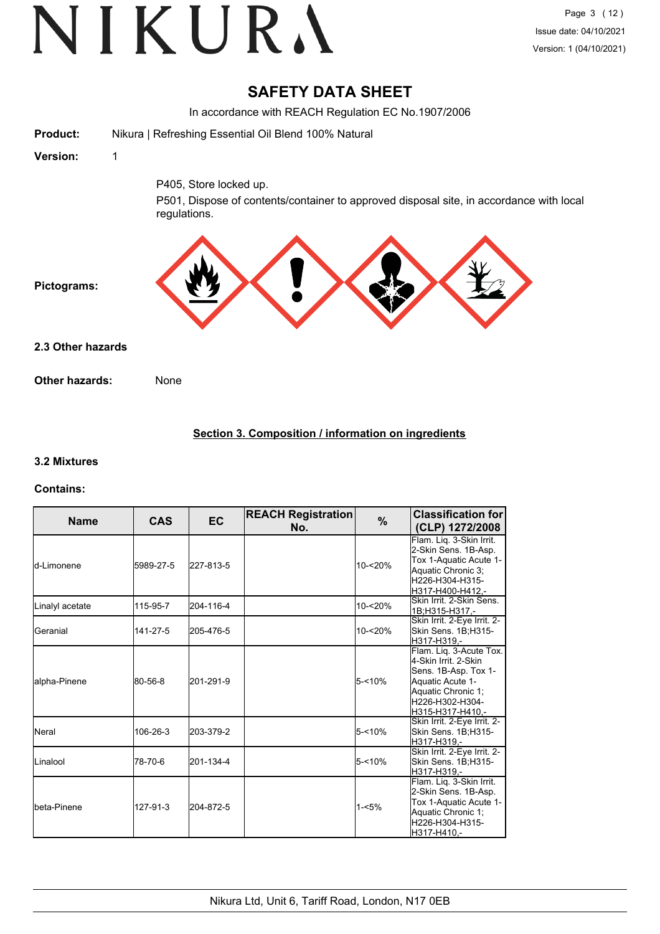# **SAFETY DATA SHEET**

In accordance with REACH Regulation EC No.1907/2006

| <b>Product:</b>   | Nikura   Refreshing Essential Oil Blend 100% Natural                                                    |
|-------------------|---------------------------------------------------------------------------------------------------------|
| Version:          | 1                                                                                                       |
|                   | P405, Store locked up.                                                                                  |
|                   | P501, Dispose of contents/container to approved disposal site, in accordance with local<br>regulations. |
| Pictograms:       |                                                                                                         |
| 2.3 Other hazards |                                                                                                         |
| Other hazards:    | None                                                                                                    |
|                   |                                                                                                         |

# **Section 3. Composition / information on ingredients**

#### **3.2 Mixtures**

#### **Contains:**

| <b>Name</b>     | <b>CAS</b> | <b>EC</b> | <b>REACH Registration</b><br>No. | $\%$     | <b>Classification for</b><br>(CLP) 1272/2008                                                                                                             |
|-----------------|------------|-----------|----------------------------------|----------|----------------------------------------------------------------------------------------------------------------------------------------------------------|
| ld-Limonene     | 5989-27-5  | 227-813-5 |                                  | 10-<20%  | Flam. Lig. 3-Skin Irrit.<br>2-Skin Sens. 1B-Asp.<br>Tox 1-Aquatic Acute 1-<br>Aquatic Chronic 3:<br>H226-H304-H315-<br>H317-H400-H412,-                  |
| Linalyl acetate | 115-95-7   | 204-116-4 |                                  | 10-<20%  | Skin Irrit, 2-Skin Sens.<br>1B;H315-H317,-                                                                                                               |
| Geranial        | 141-27-5   | 205-476-5 |                                  | 10-<20%  | Skin Irrit. 2-Eye Irrit. 2-<br>Skin Sens. 1B;H315-<br>H317-H319.-                                                                                        |
| alpha-Pinene    | 80-56-8    | 201-291-9 |                                  | 5-<10%   | Flam. Liq. 3-Acute Tox.<br>4-Skin Irrit. 2-Skin<br>Sens. 1B-Asp. Tox 1-<br>Aquatic Acute 1-<br>Aquatic Chronic 1;<br>H226-H302-H304-<br>H315-H317-H410.- |
| <b>I</b> Neral  | 106-26-3   | 203-379-2 |                                  | 5-<10%   | Skin Irrit. 2-Eye Irrit. 2-<br>Skin Sens. 1B;H315-<br>H317-H319.-                                                                                        |
| Linalool        | 78-70-6    | 201-134-4 |                                  | 5-<10%   | Skin Irrit. 2-Eye Irrit. 2-<br>Skin Sens. 1B;H315-<br>H317-H319.-                                                                                        |
| Ibeta-Pinene    | 127-91-3   | 204-872-5 |                                  | $1 - 5%$ | Flam. Liq. 3-Skin Irrit.<br>2-Skin Sens. 1B-Asp.<br>Tox 1-Aquatic Acute 1-<br>Aquatic Chronic 1;<br>H226-H304-H315-<br>H317-H410.-                       |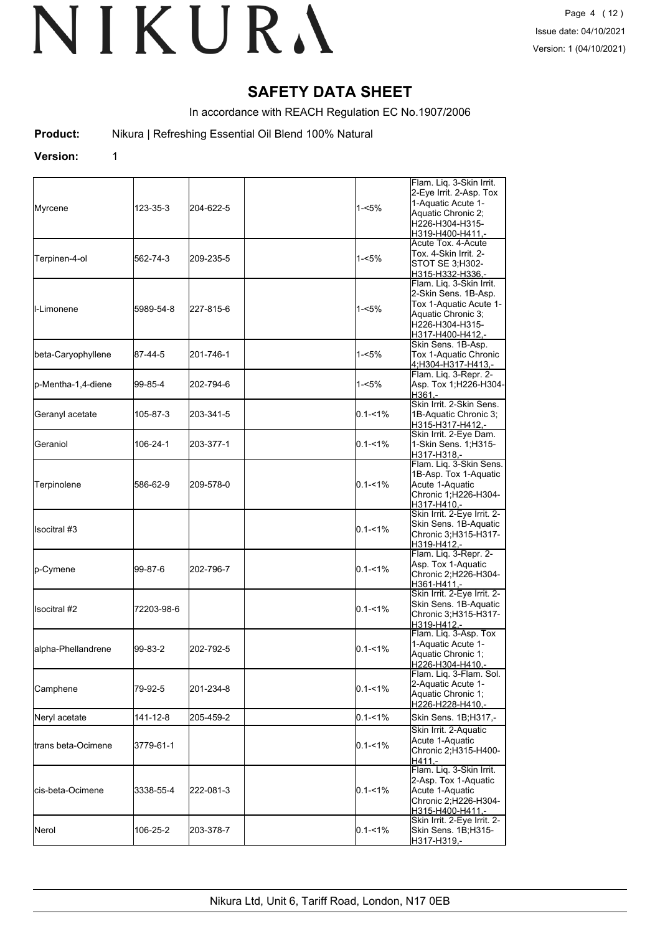# **SAFETY DATA SHEET**

In accordance with REACH Regulation EC No.1907/2006

**Product:** Nikura | Refreshing Essential Oil Blend 100% Natural

#### **Version:** 1

| Myrcene             | 123-35-3   | 204-622-5 | $1 - 5%$    | Flam. Liq. 3-Skin Irrit.<br>2-Eye Irrit. 2-Asp. Tox<br>1-Aquatic Acute 1-<br>Aquatic Chronic 2;<br>H226-H304-H315-<br>H319-H400-H411.-  |
|---------------------|------------|-----------|-------------|-----------------------------------------------------------------------------------------------------------------------------------------|
| Terpinen-4-ol       | 562-74-3   | 209-235-5 | 1-<5%       | Acute Tox. 4-Acute<br>Tox. 4-Skin Irrit. 2-<br>STOT SE 3; H302-<br>H315-H332-H336,-                                                     |
| <b>I</b> I-Limonene | 5989-54-8  | 227-815-6 | $1 - 5%$    | Flam. Liq. 3-Skin Irrit.<br>2-Skin Sens. 1B-Asp.<br>Tox 1-Aquatic Acute 1-<br>Aquatic Chronic 3;<br>H226-H304-H315-<br>H317-H400-H412,- |
| beta-Caryophyllene  | 87-44-5    | 201-746-1 | 1-<5%       | Skin Sens. 1B-Asp.<br>Tox 1-Aquatic Chronic<br>4;H304-H317-H413,-                                                                       |
| p-Mentha-1,4-diene  | 99-85-4    | 202-794-6 | 1-<5%       | Flam. Liq. 3-Repr. 2-<br>Asp. Tox 1; H226-H304-<br>H361.-                                                                               |
| Geranyl acetate     | 105-87-3   | 203-341-5 | $0.1 - 1\%$ | Skin Irrit. 2-Skin Sens.<br>1B-Aquatic Chronic 3;<br>H315-H317-H412,-                                                                   |
| Geraniol            | 106-24-1   | 203-377-1 | $0.1 - 1\%$ | Skin Irrit. 2-Eye Dam.<br>1-Skin Sens. 1; H315-<br>H317-H318.-                                                                          |
| Terpinolene         | 586-62-9   | 209-578-0 | $0.1 - 1\%$ | Flam. Liq. 3-Skin Sens.<br>1B-Asp. Tox 1-Aquatic<br>Acute 1-Aquatic<br>Chronic 1;H226-H304-<br>H317-H410,-                              |
| Ilsocitral #3       |            |           | $0.1 - 1\%$ | Skin Irrit. 2-Eye Irrit. 2-<br>Skin Sens. 1B-Aquatic<br>Chronic 3;H315-H317-<br>H319-H412,-                                             |
| p-Cymene            | 99-87-6    | 202-796-7 | $0.1 - 1\%$ | Flam. Liq. 3-Repr. 2-<br>Asp. Tox 1-Aquatic<br>Chronic 2;H226-H304-<br>H361-H411,-                                                      |
| Isocitral #2        | 72203-98-6 |           | $0.1 - 1\%$ | Skin Irrit. 2-Eye Irrit. 2-<br>Skin Sens. 1B-Aquatic<br>Chronic 3;H315-H317-<br>H319-H412,-                                             |
| alpha-Phellandrene  | 99-83-2    | 202-792-5 | $0.1 - 1\%$ | Flam. Liq. 3-Asp. Tox<br>1-Aquatic Acute 1-<br>Aquatic Chronic 1;<br>H226-H304-H410,-                                                   |
| Camphene            | 79-92-5    | 201-234-8 | $0.1 - 1\%$ | Flam. Liq. 3-Flam. Sol.<br>2-Aquatic Acute 1-<br>Aquatic Chronic 1;<br>H226-H228-H410,-                                                 |
| Neryl acetate       | 141-12-8   | 205-459-2 | $0.1 - 1\%$ | Skin Sens. 1B;H317,-                                                                                                                    |
| trans beta-Ocimene  | 3779-61-1  |           | $0.1 - 1\%$ | Skin Irrit. 2-Aquatic<br>Acute 1-Aquatic<br>Chronic 2;H315-H400-<br>H411,-                                                              |
| lcis-beta-Ocimene   | 3338-55-4  | 222-081-3 | $0.1 - 1\%$ | Flam. Liq. 3-Skin Irrit.<br>2-Asp. Tox 1-Aquatic<br>Acute 1-Aquatic<br>Chronic 2;H226-H304-<br>H315-H400-H411,-                         |
| Nerol               | 106-25-2   | 203-378-7 | $0.1 - 1\%$ | Skin Irrit. 2-Eye Irrit. 2-<br>Skin Sens. 1B;H315-<br>H317-H319,-                                                                       |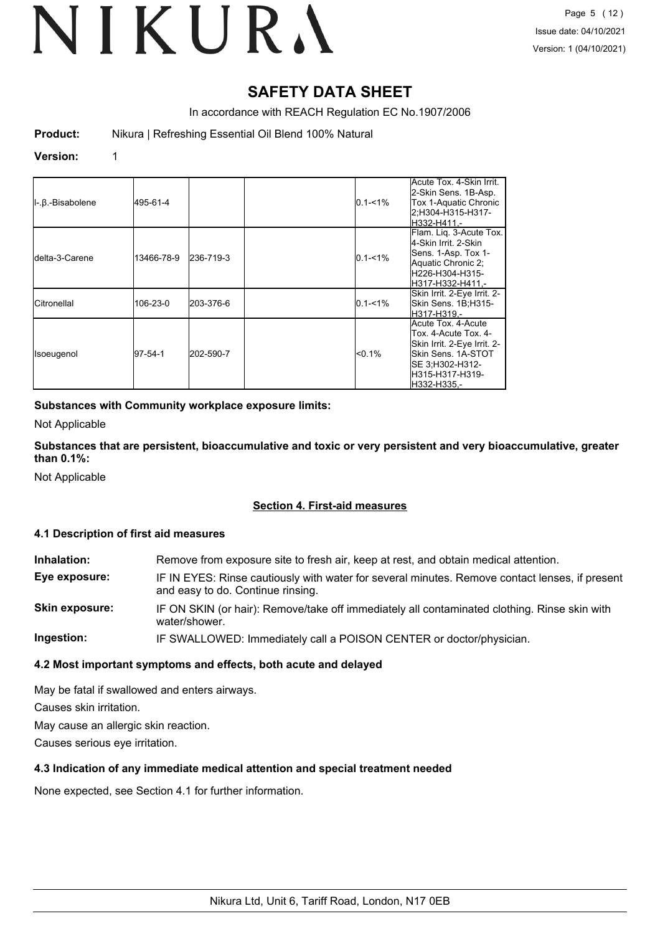# **SAFETY DATA SHEET**

In accordance with REACH Regulation EC No.1907/2006

**Product:** Nikura | Refreshing Essential Oil Blend 100% Natural

#### **Version:** 1

| $\parallel$ -. $\beta$ .-Bisabolene | 495-61-4   |           | $0.1 - 1\%$ | Acute Tox. 4-Skin Irrit.<br>2-Skin Sens. 1B-Asp.<br>Tox 1-Aquatic Chronic<br>2;H304-H315-H317-<br>H332-H411.-                                        |
|-------------------------------------|------------|-----------|-------------|------------------------------------------------------------------------------------------------------------------------------------------------------|
| <b>I</b> delta-3-Carene             | 13466-78-9 | 236-719-3 | $0.1 - 1%$  | Flam. Lig. 3-Acute Tox.<br>4-Skin Irrit. 2-Skin<br>Sens. 1-Asp. Tox 1-<br>Aquatic Chronic 2;<br>H226-H304-H315-<br>lH317-H332-H411.-                 |
| <b>ICitronellal</b>                 | 106-23-0   | 203-376-6 | $0.1 - 1%$  | Skin Irrit. 2-Eye Irrit. 2-<br><b>Skin Sens. 1B:H315-</b><br>H317-H319.-                                                                             |
| Isoeugenol                          | 97-54-1    | 202-590-7 | $< 0.1\%$   | Acute Tox, 4-Acute<br>Tox. 4-Acute Tox. 4-<br>Skin Irrit. 2-Eye Irrit. 2-<br>Skin Sens. 1A-STOT<br>SE 3;H302-H312-<br>H315-H317-H319-<br>H332-H335.- |

#### **Substances with Community workplace exposure limits:**

Not Applicable

**Substances that are persistent, bioaccumulative and toxic or very persistent and very bioaccumulative, greater than 0.1%:**

Not Applicable

### **Section 4. First-aid measures**

#### **4.1 Description of first aid measures**

| Inhalation:           | Remove from exposure site to fresh air, keep at rest, and obtain medical attention.                                                 |
|-----------------------|-------------------------------------------------------------------------------------------------------------------------------------|
| Eye exposure:         | IF IN EYES: Rinse cautiously with water for several minutes. Remove contact lenses, if present<br>and easy to do. Continue rinsing. |
| <b>Skin exposure:</b> | IF ON SKIN (or hair): Remove/take off immediately all contaminated clothing. Rinse skin with<br>water/shower.                       |
| Ingestion:            | IF SWALLOWED: Immediately call a POISON CENTER or doctor/physician.                                                                 |

#### **4.2 Most important symptoms and effects, both acute and delayed**

May be fatal if swallowed and enters airways.

Causes skin irritation.

May cause an allergic skin reaction.

Causes serious eye irritation.

#### **4.3 Indication of any immediate medical attention and special treatment needed**

None expected, see Section 4.1 for further information.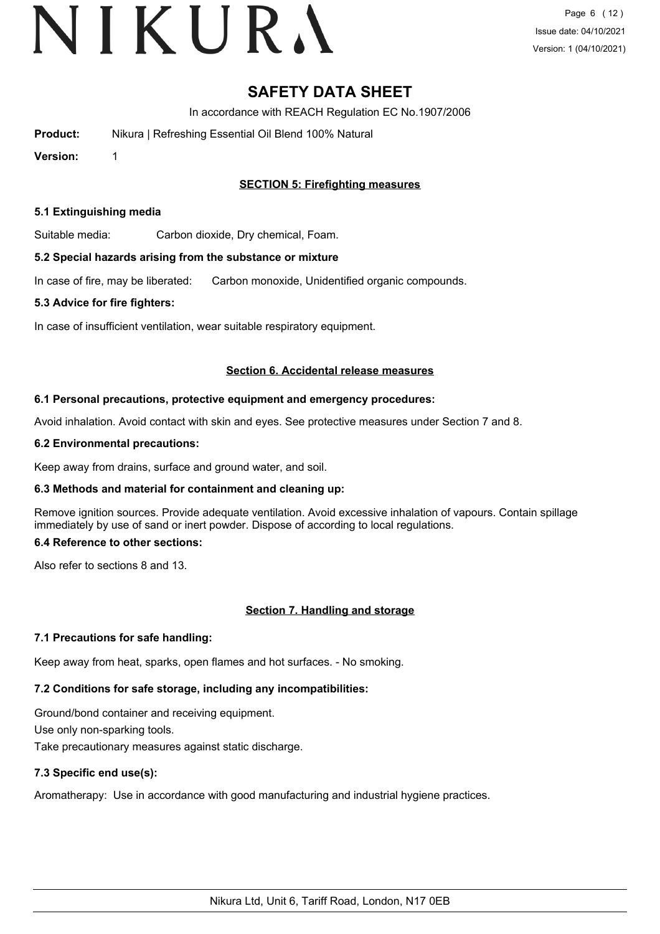# **SAFETY DATA SHEET**

In accordance with REACH Regulation EC No.1907/2006

| <b>Product:</b> | Nikura   Refreshing Essential Oil Blend 100% Natural |
|-----------------|------------------------------------------------------|
|                 |                                                      |

**Version:** 1

## **SECTION 5: Firefighting measures**

#### **5.1 Extinguishing media**

Suitable media: Carbon dioxide, Dry chemical, Foam.

#### **5.2 Special hazards arising from the substance or mixture**

In case of fire, may be liberated: Carbon monoxide, Unidentified organic compounds.

#### **5.3 Advice for fire fighters:**

In case of insufficient ventilation, wear suitable respiratory equipment.

#### **Section 6. Accidental release measures**

#### **6.1 Personal precautions, protective equipment and emergency procedures:**

Avoid inhalation. Avoid contact with skin and eyes. See protective measures under Section 7 and 8.

#### **6.2 Environmental precautions:**

Keep away from drains, surface and ground water, and soil.

#### **6.3 Methods and material for containment and cleaning up:**

Remove ignition sources. Provide adequate ventilation. Avoid excessive inhalation of vapours. Contain spillage immediately by use of sand or inert powder. Dispose of according to local regulations.

#### **6.4 Reference to other sections:**

Also refer to sections 8 and 13.

#### **Section 7. Handling and storage**

#### **7.1 Precautions for safe handling:**

Keep away from heat, sparks, open flames and hot surfaces. - No smoking.

# **7.2 Conditions for safe storage, including any incompatibilities:**

Ground/bond container and receiving equipment. Use only non-sparking tools. Take precautionary measures against static discharge.

# **7.3 Specific end use(s):**

Aromatherapy: Use in accordance with good manufacturing and industrial hygiene practices.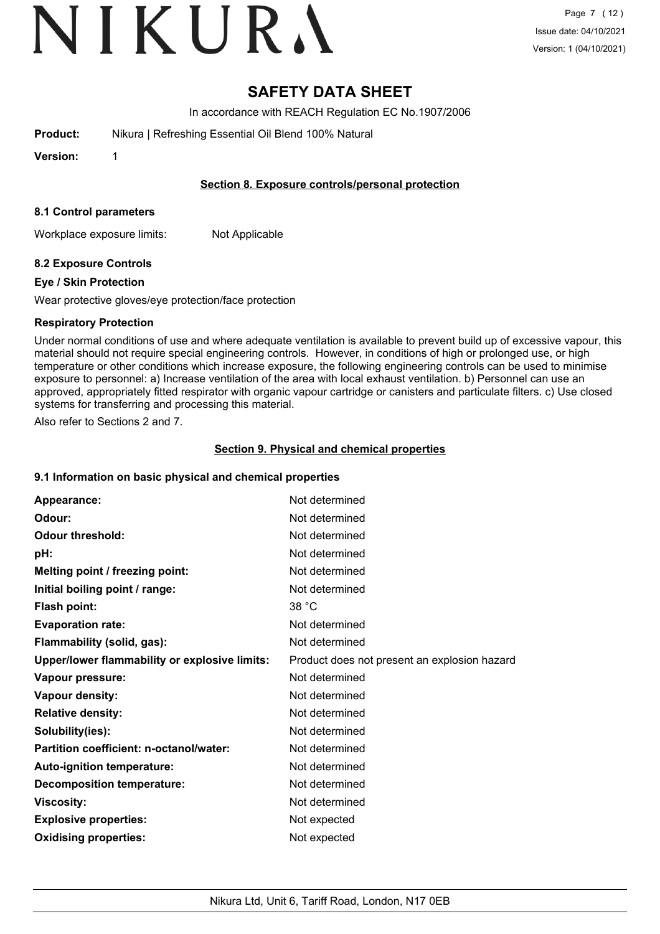# **SAFETY DATA SHEET**

In accordance with REACH Regulation EC No.1907/2006

**Product:** Nikura | Refreshing Essential Oil Blend 100% Natural

**Version:** 1

## **Section 8. Exposure controls/personal protection**

#### **8.1 Control parameters**

Workplace exposure limits: Not Applicable

# **8.2 Exposure Controls**

## **Eye / Skin Protection**

Wear protective gloves/eye protection/face protection

## **Respiratory Protection**

Under normal conditions of use and where adequate ventilation is available to prevent build up of excessive vapour, this material should not require special engineering controls. However, in conditions of high or prolonged use, or high temperature or other conditions which increase exposure, the following engineering controls can be used to minimise exposure to personnel: a) Increase ventilation of the area with local exhaust ventilation. b) Personnel can use an approved, appropriately fitted respirator with organic vapour cartridge or canisters and particulate filters. c) Use closed systems for transferring and processing this material.

Also refer to Sections 2 and 7.

# **Section 9. Physical and chemical properties**

# **9.1 Information on basic physical and chemical properties**

| Appearance:                                   | Not determined                               |
|-----------------------------------------------|----------------------------------------------|
| Odour:                                        | Not determined                               |
| <b>Odour threshold:</b>                       | Not determined                               |
| pH:                                           | Not determined                               |
| Melting point / freezing point:               | Not determined                               |
| Initial boiling point / range:                | Not determined                               |
| <b>Flash point:</b>                           | 38 °C                                        |
| <b>Evaporation rate:</b>                      | Not determined                               |
| Flammability (solid, gas):                    | Not determined                               |
| Upper/lower flammability or explosive limits: | Product does not present an explosion hazard |
| Vapour pressure:                              | Not determined                               |
| Vapour density:                               | Not determined                               |
| <b>Relative density:</b>                      | Not determined                               |
| Solubility(ies):                              | Not determined                               |
| Partition coefficient: n-octanol/water:       | Not determined                               |
| Auto-ignition temperature:                    | Not determined                               |
| <b>Decomposition temperature:</b>             | Not determined                               |
| <b>Viscosity:</b>                             | Not determined                               |
| <b>Explosive properties:</b>                  | Not expected                                 |
| <b>Oxidising properties:</b>                  | Not expected                                 |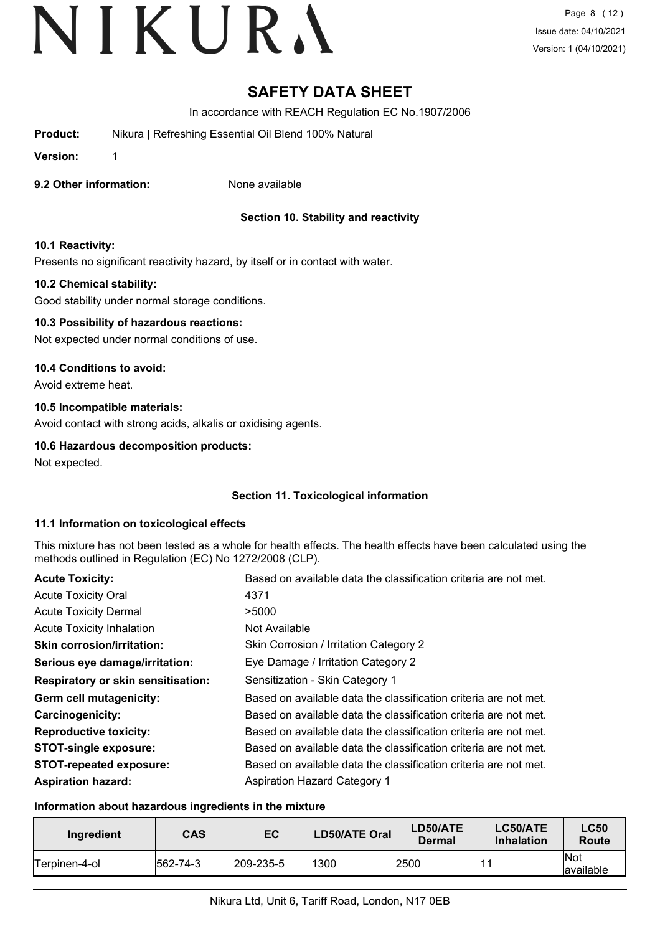# **SAFETY DATA SHEET**

In accordance with REACH Regulation EC No.1907/2006

**Product:** Nikura | Refreshing Essential Oil Blend 100% Natural

**Version:** 1

**9.2 Other information:** None available

# **Section 10. Stability and reactivity**

## **10.1 Reactivity:**

Presents no significant reactivity hazard, by itself or in contact with water.

## **10.2 Chemical stability:**

Good stability under normal storage conditions.

## **10.3 Possibility of hazardous reactions:**

Not expected under normal conditions of use.

## **10.4 Conditions to avoid:**

Avoid extreme heat.

# **10.5 Incompatible materials:**

Avoid contact with strong acids, alkalis or oxidising agents.

## **10.6 Hazardous decomposition products:**

Not expected.

# **Section 11. Toxicological information**

#### **11.1 Information on toxicological effects**

This mixture has not been tested as a whole for health effects. The health effects have been calculated using the methods outlined in Regulation (EC) No 1272/2008 (CLP).

| <b>Acute Toxicity:</b>                    | Based on available data the classification criteria are not met. |
|-------------------------------------------|------------------------------------------------------------------|
| <b>Acute Toxicity Oral</b>                | 4371                                                             |
| <b>Acute Toxicity Dermal</b>              | >5000                                                            |
| <b>Acute Toxicity Inhalation</b>          | Not Available                                                    |
| <b>Skin corrosion/irritation:</b>         | Skin Corrosion / Irritation Category 2                           |
| Serious eye damage/irritation:            | Eye Damage / Irritation Category 2                               |
| <b>Respiratory or skin sensitisation:</b> | Sensitization - Skin Category 1                                  |
| Germ cell mutagenicity:                   | Based on available data the classification criteria are not met. |
| <b>Carcinogenicity:</b>                   | Based on available data the classification criteria are not met. |
| <b>Reproductive toxicity:</b>             | Based on available data the classification criteria are not met. |
| <b>STOT-single exposure:</b>              | Based on available data the classification criteria are not met. |
| <b>STOT-repeated exposure:</b>            | Based on available data the classification criteria are not met. |
| <b>Aspiration hazard:</b>                 | <b>Aspiration Hazard Category 1</b>                              |

#### **Information about hazardous ingredients in the mixture**

| Ingredient    | <b>CAS</b>       | EC                | LD50/ATE Oral | LD50/ATE<br>Dermal | LC50/ATE<br><b>Inhalation</b> | <b>LC50</b><br><b>Route</b> |
|---------------|------------------|-------------------|---------------|--------------------|-------------------------------|-----------------------------|
| Terpinen-4-ol | $ 562 - 74 - 3 $ | $ 209 - 235 - 5 $ | 1300          | 2500               |                               | <b>Not</b><br>lavailable    |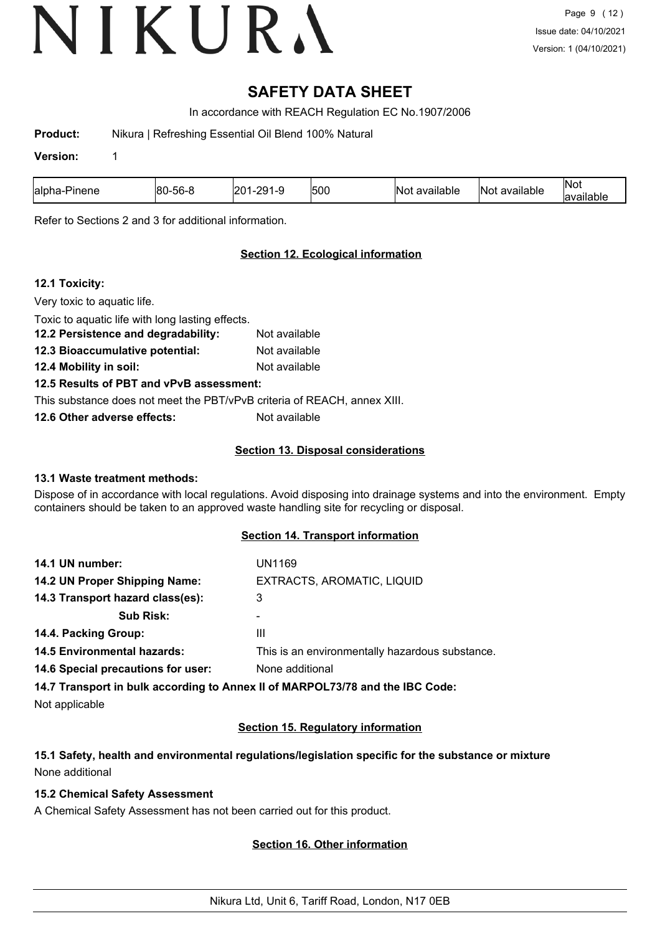# **SAFETY DATA SHEET**

In accordance with REACH Regulation EC No.1907/2006

**Product:** Nikura | Refreshing Essential Oil Blend 100% Natural

#### **Version:** 1

| 500<br>≙∩∩י<br>56-<br>ำ∩⊹<br>lalpha<br>80<br>'inene<br>. .<br>. . | IN٥<br>available | <br>$\mathsf{N}$ c<br>available | INOL<br>والمالح المتاري<br>allable |
|-------------------------------------------------------------------|------------------|---------------------------------|------------------------------------|
|-------------------------------------------------------------------|------------------|---------------------------------|------------------------------------|

Refer to Sections 2 and 3 for additional information.

# **Section 12. Ecological information**

## **12.1 Toxicity:**

Very toxic to aquatic life. Toxic to aquatic life with long lasting effects. **12.2 Persistence and degradability:** Not available **12.3 Bioaccumulative potential:** Not available **12.4 Mobility in soil:** Not available **12.5 Results of PBT and vPvB assessment:** This substance does not meet the PBT/vPvB criteria of REACH, annex XIII. **12.6 Other adverse effects:** Not available

## **Section 13. Disposal considerations**

#### **13.1 Waste treatment methods:**

Dispose of in accordance with local regulations. Avoid disposing into drainage systems and into the environment. Empty containers should be taken to an approved waste handling site for recycling or disposal.

#### **Section 14. Transport information**

| EXTRACTS, AROMATIC, LIQUID<br>14.2 UN Proper Shipping Name:<br>14.3 Transport hazard class(es):<br>3<br><b>Sub Risk:</b><br>14.4. Packing Group:<br>Ш<br><b>14.5 Environmental hazards:</b> | 14.1 UN number:                    | UN1169                                          |
|---------------------------------------------------------------------------------------------------------------------------------------------------------------------------------------------|------------------------------------|-------------------------------------------------|
|                                                                                                                                                                                             |                                    |                                                 |
|                                                                                                                                                                                             |                                    |                                                 |
|                                                                                                                                                                                             |                                    |                                                 |
|                                                                                                                                                                                             |                                    |                                                 |
|                                                                                                                                                                                             |                                    | This is an environmentally hazardous substance. |
|                                                                                                                                                                                             | 14.6 Special precautions for user: | None additional                                 |

**14.7 Transport in bulk according to Annex II of MARPOL73/78 and the IBC Code:**

Not applicable

# **Section 15. Regulatory information**

# **15.1 Safety, health and environmental regulations/legislation specific for the substance or mixture** None additional

### **15.2 Chemical Safety Assessment**

A Chemical Safety Assessment has not been carried out for this product.

# **Section 16. Other information**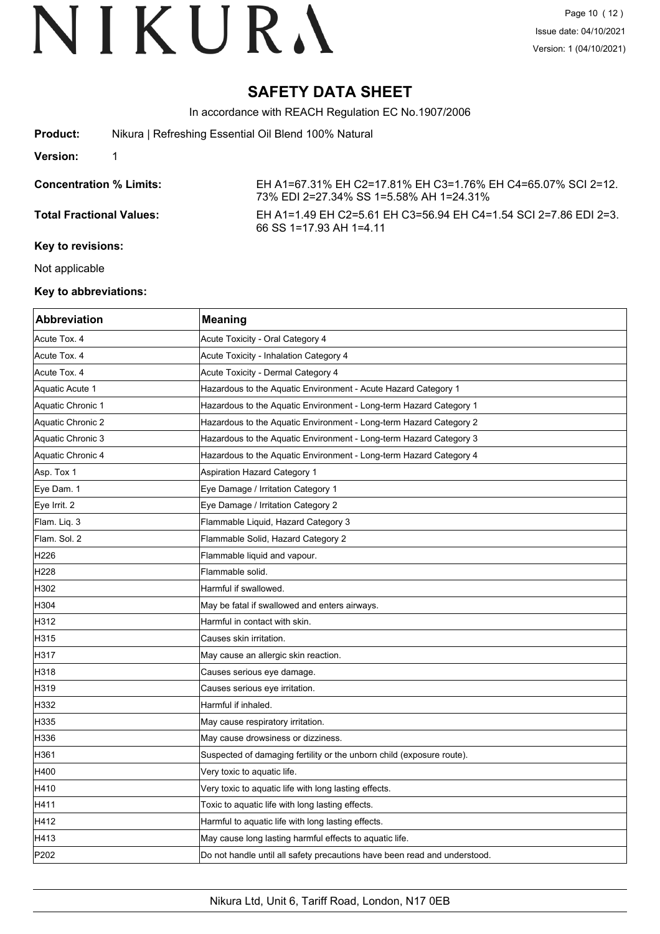# **SAFETY DATA SHEET**

In accordance with REACH Regulation EC No.1907/2006

| <b>Product:</b> | Nikura   Refreshing Essential Oil Blend 100% Natural |  |
|-----------------|------------------------------------------------------|--|
|-----------------|------------------------------------------------------|--|

#### **Version:** 1

**Concentration % Limits:** EH A1=67.31% EH C2=17.81% EH C3=1.76% EH C4=65.07% SCI 2=12. 73% EDI 2=27.34% SS 1=5.58% AH 1=24.31%

**Total Fractional Values:** EH A1=1.49 EH C2=5.61 EH C3=56.94 EH C4=1.54 SCI 2=7.86 EDI 2=3. 66 SS 1=17.93 AH 1=4.11

#### **Key to revisions:**

Not applicable

## **Key to abbreviations:**

| <b>Abbreviation</b> | <b>Meaning</b>                                                            |
|---------------------|---------------------------------------------------------------------------|
| Acute Tox. 4        | Acute Toxicity - Oral Category 4                                          |
| Acute Tox. 4        | Acute Toxicity - Inhalation Category 4                                    |
| Acute Tox. 4        | Acute Toxicity - Dermal Category 4                                        |
| Aquatic Acute 1     | Hazardous to the Aquatic Environment - Acute Hazard Category 1            |
| Aquatic Chronic 1   | Hazardous to the Aquatic Environment - Long-term Hazard Category 1        |
| Aquatic Chronic 2   | Hazardous to the Aquatic Environment - Long-term Hazard Category 2        |
| Aquatic Chronic 3   | Hazardous to the Aquatic Environment - Long-term Hazard Category 3        |
| Aquatic Chronic 4   | Hazardous to the Aquatic Environment - Long-term Hazard Category 4        |
| Asp. Tox 1          | Aspiration Hazard Category 1                                              |
| Eye Dam. 1          | Eye Damage / Irritation Category 1                                        |
| Eye Irrit. 2        | Eye Damage / Irritation Category 2                                        |
| Flam. Liq. 3        | Flammable Liquid, Hazard Category 3                                       |
| Flam. Sol. 2        | Flammable Solid, Hazard Category 2                                        |
| H <sub>226</sub>    | Flammable liquid and vapour.                                              |
| H228                | Flammable solid.                                                          |
| H302                | Harmful if swallowed.                                                     |
| H304                | May be fatal if swallowed and enters airways.                             |
| H312                | Harmful in contact with skin.                                             |
| H315                | Causes skin irritation.                                                   |
| H317                | May cause an allergic skin reaction.                                      |
| H318                | Causes serious eye damage.                                                |
| H319                | Causes serious eye irritation.                                            |
| H332                | Harmful if inhaled.                                                       |
| H335                | May cause respiratory irritation.                                         |
| H336                | May cause drowsiness or dizziness.                                        |
| H361                | Suspected of damaging fertility or the unborn child (exposure route).     |
| H400                | Very toxic to aquatic life.                                               |
| H410                | Very toxic to aquatic life with long lasting effects.                     |
| H411                | Toxic to aquatic life with long lasting effects.                          |
| H412                | Harmful to aquatic life with long lasting effects.                        |
| H413                | May cause long lasting harmful effects to aquatic life.                   |
| P202                | Do not handle until all safety precautions have been read and understood. |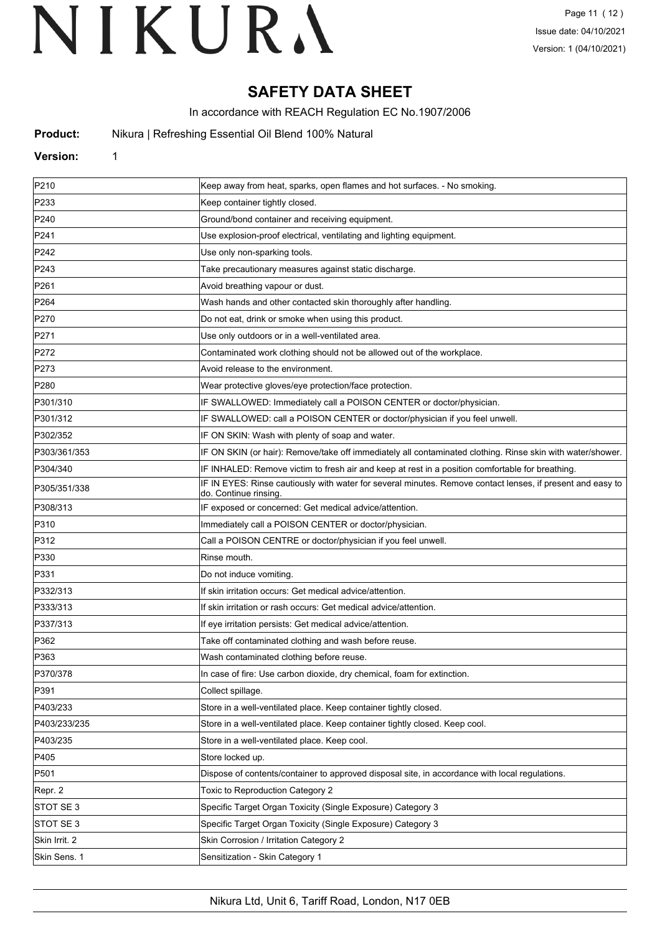# **SAFETY DATA SHEET**

In accordance with REACH Regulation EC No.1907/2006

**Product:** Nikura | Refreshing Essential Oil Blend 100% Natural

#### **Version:** 1

| P210          | Keep away from heat, sparks, open flames and hot surfaces. - No smoking.                                                            |
|---------------|-------------------------------------------------------------------------------------------------------------------------------------|
| P233          | Keep container tightly closed.                                                                                                      |
| P240          | Ground/bond container and receiving equipment.                                                                                      |
| P241          | Use explosion-proof electrical, ventilating and lighting equipment.                                                                 |
| P242          | Use only non-sparking tools.                                                                                                        |
| P243          | Take precautionary measures against static discharge.                                                                               |
| P261          | Avoid breathing vapour or dust.                                                                                                     |
| P264          | Wash hands and other contacted skin thoroughly after handling.                                                                      |
| P270          | Do not eat, drink or smoke when using this product.                                                                                 |
| P271          | Use only outdoors or in a well-ventilated area.                                                                                     |
| P272          | Contaminated work clothing should not be allowed out of the workplace.                                                              |
| P273          | Avoid release to the environment.                                                                                                   |
| P280          | Wear protective gloves/eye protection/face protection.                                                                              |
| P301/310      | IF SWALLOWED: Immediately call a POISON CENTER or doctor/physician.                                                                 |
| P301/312      | IF SWALLOWED: call a POISON CENTER or doctor/physician if you feel unwell.                                                          |
| P302/352      | IF ON SKIN: Wash with plenty of soap and water.                                                                                     |
| P303/361/353  | IF ON SKIN (or hair): Remove/take off immediately all contaminated clothing. Rinse skin with water/shower.                          |
| P304/340      | IF INHALED: Remove victim to fresh air and keep at rest in a position comfortable for breathing.                                    |
| P305/351/338  | IF IN EYES: Rinse cautiously with water for several minutes. Remove contact lenses, if present and easy to<br>do. Continue rinsing. |
| P308/313      | IF exposed or concerned: Get medical advice/attention.                                                                              |
| P310          | Immediately call a POISON CENTER or doctor/physician.                                                                               |
| P312          | Call a POISON CENTRE or doctor/physician if you feel unwell.                                                                        |
| P330          | Rinse mouth.                                                                                                                        |
| P331          | Do not induce vomiting.                                                                                                             |
| P332/313      | If skin irritation occurs: Get medical advice/attention.                                                                            |
| P333/313      | If skin irritation or rash occurs: Get medical advice/attention.                                                                    |
| P337/313      | If eye irritation persists: Get medical advice/attention.                                                                           |
| P362          | Take off contaminated clothing and wash before reuse.                                                                               |
| P363          | Wash contaminated clothing before reuse.                                                                                            |
| P370/378      | In case of fire: Use carbon dioxide, dry chemical, foam for extinction.                                                             |
| P391          | Collect spillage.                                                                                                                   |
| P403/233      | Store in a well-ventilated place. Keep container tightly closed.                                                                    |
| P403/233/235  | Store in a well-ventilated place. Keep container tightly closed. Keep cool.                                                         |
| P403/235      | Store in a well-ventilated place. Keep cool.                                                                                        |
| P405          | Store locked up.                                                                                                                    |
| P501          | Dispose of contents/container to approved disposal site, in accordance with local regulations.                                      |
| Repr. 2       | Toxic to Reproduction Category 2                                                                                                    |
| STOT SE 3     | Specific Target Organ Toxicity (Single Exposure) Category 3                                                                         |
| STOT SE 3     | Specific Target Organ Toxicity (Single Exposure) Category 3                                                                         |
| Skin Irrit. 2 | Skin Corrosion / Irritation Category 2                                                                                              |
| Skin Sens. 1  | Sensitization - Skin Category 1                                                                                                     |